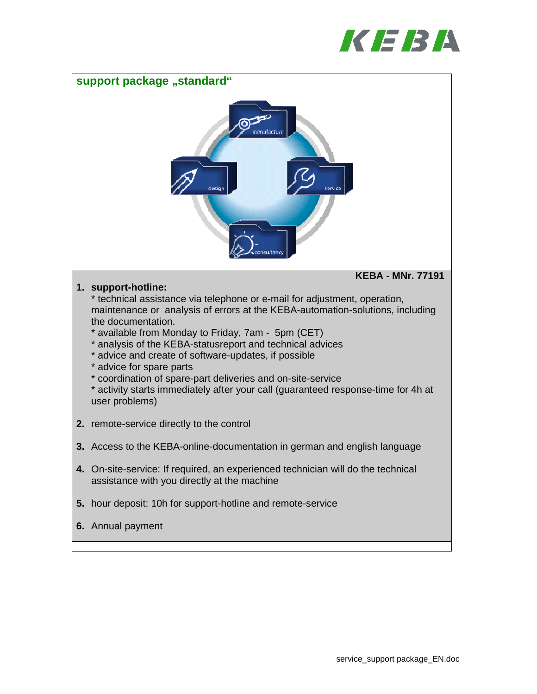

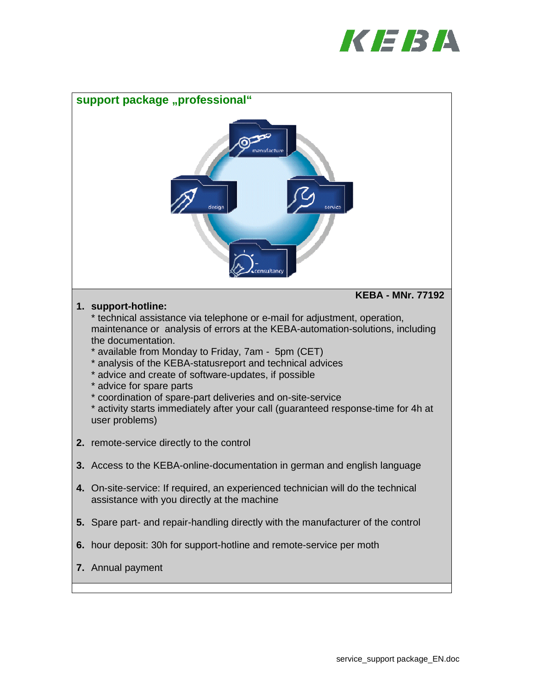

## support package "professional" **KEBA - MNr. 77192 1. support-hotline:** \* technical assistance via telephone or e-mail for adjustment, operation, maintenance or analysis of errors at the KEBA-automation-solutions, including the documentation. \* available from Monday to Friday, 7am - 5pm (CET) \* analysis of the KEBA-statusreport and technical advices \* advice and create of software-updates, if possible \* advice for spare parts \* coordination of spare-part deliveries and on-site-service \* activity starts immediately after your call (guaranteed response-time for 4h at user problems) **2.** remote-service directly to the control **3.** Access to the KEBA-online-documentation in german and english language **4.** On-site-service: If required, an experienced technician will do the technical assistance with you directly at the machine **5.** Spare part- and repair-handling directly with the manufacturer of the control **6.** hour deposit: 30h for support-hotline and remote-service per moth **7.** Annual payment